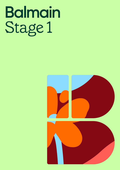## Balmain<br>Stage 1